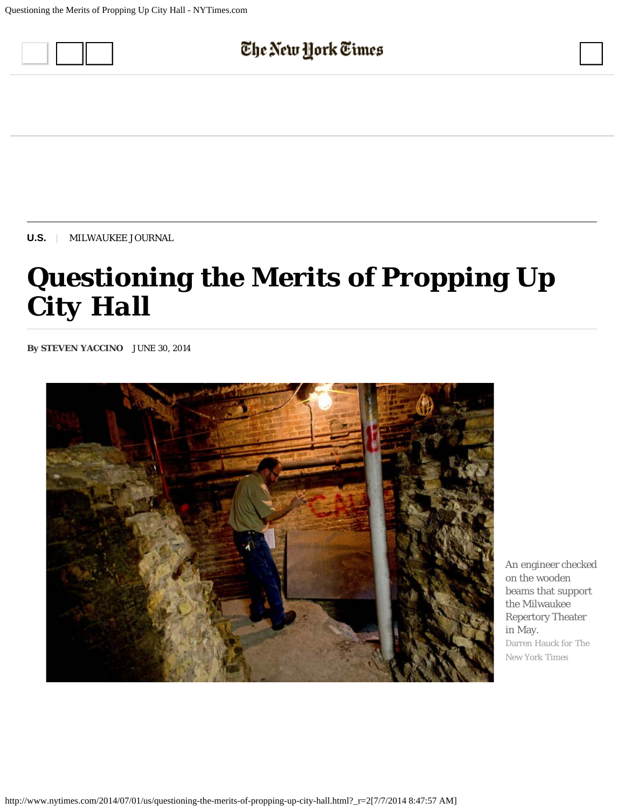

**[U.S.](http://www.nytimes.com/pages/national/index.html)** | MILWAUKEE JOURNAL

## *Questioning the Merits of Propping Up City Hall*

**By STEVEN YACCINO** JUNE 30, 2014



An engineer checked on the wooden beams that support the Milwaukee Repertory Theater in May. Darren Hauck for The New York Times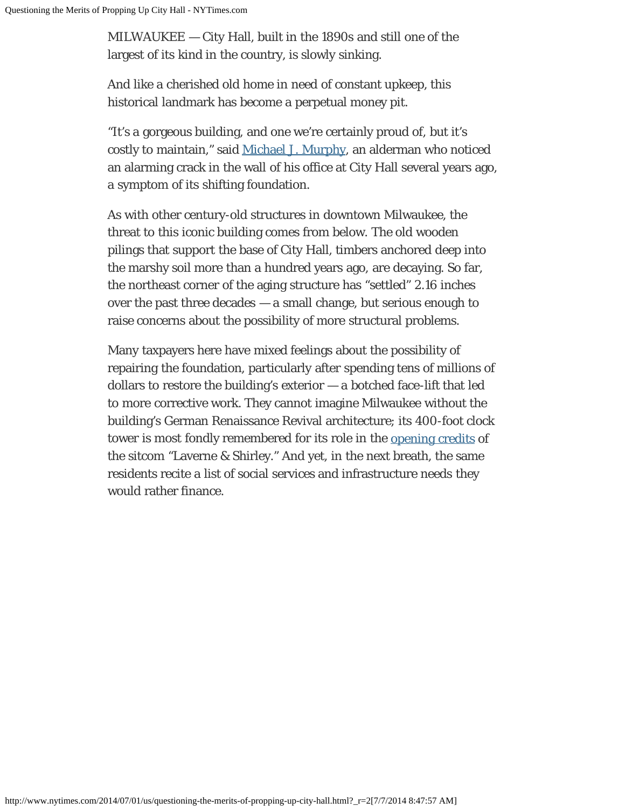MILWAUKEE — City Hall, built in the 1890s and still one of the largest of its kind in the country, is slowly sinking.

And like a cherished old home in need of constant upkeep, this historical landmark has become a perpetual money pit.

"It's a gorgeous building, and one we're certainly proud of, but it's costly to maintain," said [Michael J. Murphy](http://city.milwaukee.gov/AldermanMurphysBiogr1918.htm#.U7HKTfldW6U), an alderman who noticed an alarming crack in the wall of his office at City Hall several years ago, a symptom of its shifting foundation.

As with other century-old structures in downtown Milwaukee, the threat to this iconic building comes from below. The old wooden pilings that support the base of City Hall, timbers anchored deep into the marshy soil more than a hundred years ago, are decaying. So far, the northeast corner of the aging structure has "settled" 2.16 inches over the past three decades — a small change, but serious enough to raise concerns about the possibility of more structural problems.

Many taxpayers here have mixed feelings about the possibility of repairing the foundation, particularly after spending tens of millions of dollars to restore the building's exterior — a botched face-lift that led to more corrective work. They cannot imagine Milwaukee without the building's German Renaissance Revival architecture; its 400-foot clock tower is most fondly remembered for its role in the [opening credits](https://www.youtube.com/watch?v=mRmKzxhMzwo) of the sitcom "Laverne & Shirley." And yet, in the next breath, the same residents recite a list of social services and infrastructure needs they would rather finance.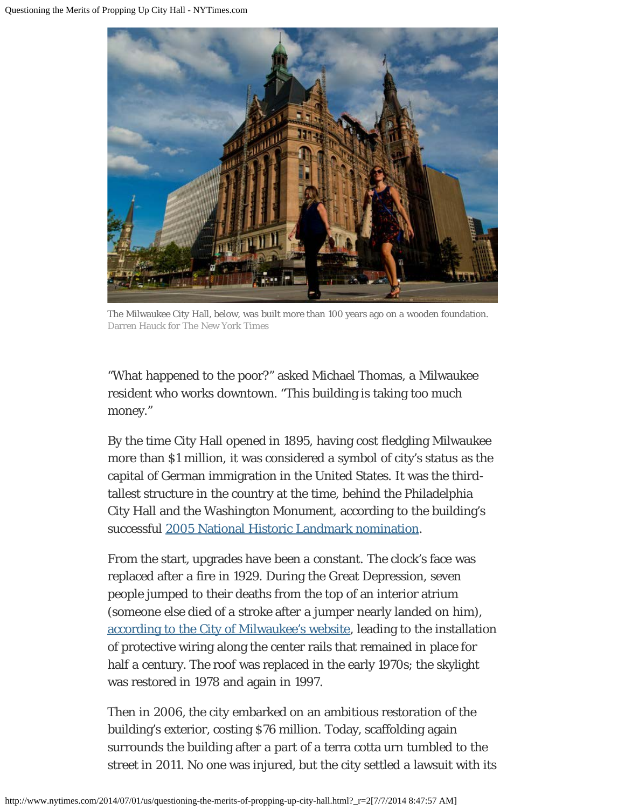

The Milwaukee City Hall, below, was built more than 100 years ago on a wooden foundation. Darren Hauck for The New York Times

"What happened to the poor?" asked Michael Thomas, a Milwaukee resident who works downtown. "This building is taking too much money."

By the time City Hall opened in 1895, having cost fledgling Milwaukee more than \$1 million, it was considered a symbol of city's status as the capital of German immigration in the United States. It was the thirdtallest structure in the country at the time, behind the Philadelphia City Hall and the Washington Monument, according to the building's successful [2005 National Historic Landmark nomination](http://www.nps.gov/nhl/find/statelists/wi/Milwaukee.pdf).

From the start, upgrades have been a constant. The clock's face was replaced after a fire in 1929. During the Great Depression, seven people jumped to their deaths from the top of an interior atrium (someone else died of a stroke after a jumper nearly landed on him), [according to the City of Milwaukee's website,](http://city.milwaukee.gov/TheHistoryofMilwauke2706.htm#.U7GNNbFZhbw) leading to the installation of protective wiring along the center rails that remained in place for half a century. The roof was replaced in the early 1970s; the skylight was restored in 1978 and again in 1997.

Then in 2006, the city embarked on an ambitious restoration of the building's exterior, costing \$76 million. Today, scaffolding again surrounds the building after a part of a terra cotta urn tumbled to the street in 2011. No one was injured, but the city settled a lawsuit with its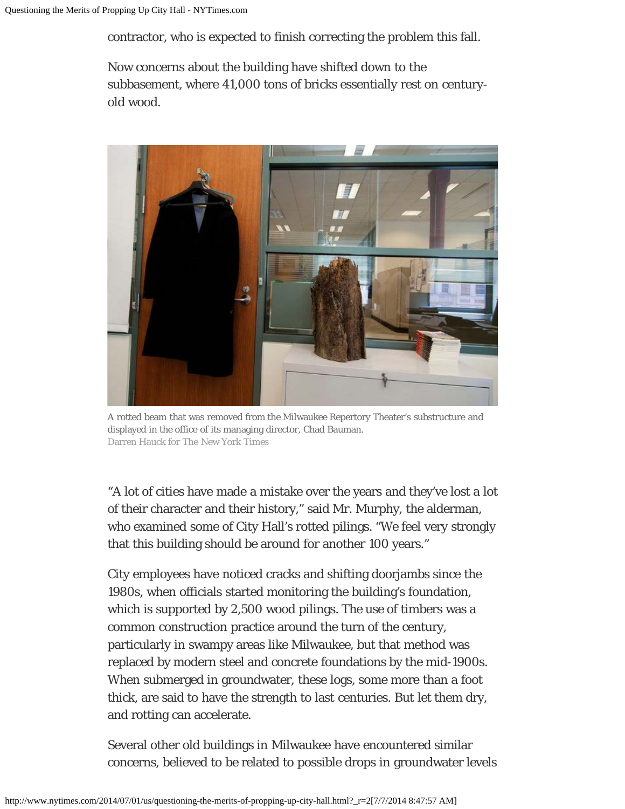contractor, who is expected to finish correcting the problem this fall.

Now concerns about the building have shifted down to the subbasement, where 41,000 tons of bricks essentially rest on centuryold wood.



A rotted beam that was removed from the Milwaukee Repertory Theater's substructure and displayed in the office of its managing director, Chad Bauman. Darren Hauck for The New York Times

"A lot of cities have made a mistake over the years and they've lost a lot of their character and their history," said Mr. Murphy, the alderman, who examined some of City Hall's rotted pilings. "We feel very strongly that this building should be around for another 100 years."

City employees have noticed cracks and shifting doorjambs since the 1980s, when officials started monitoring the building's foundation, which is supported by 2,500 wood pilings. The use of timbers was a common construction practice around the turn of the century, particularly in swampy areas like Milwaukee, but that method was replaced by modern steel and concrete foundations by the mid-1900s. When submerged in groundwater, these logs, some more than a foot thick, are said to have the strength to last centuries. But let them dry, and rotting can accelerate.

Several other old buildings in Milwaukee have encountered similar concerns, believed to be related to possible drops in groundwater levels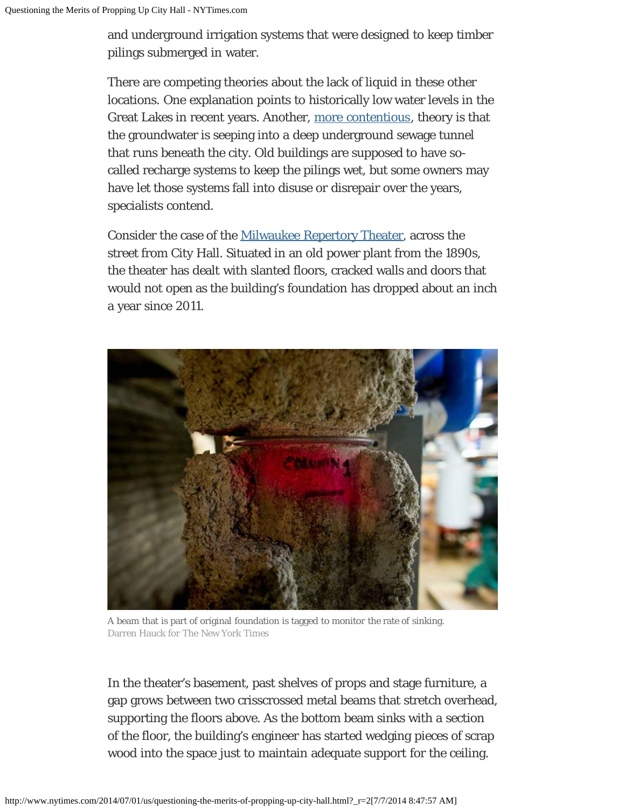and underground irrigation systems that were designed to keep timber pilings submerged in water.

There are competing theories about the lack of liquid in these other locations. One explanation points to historically low water levels in the Great Lakes in recent years. Another, [more contentious,](http://www.jsonline.com/news/milwaukee/supreme-court-orders-leaks-into-deep-tunnel-to-be-abated-b9956863z1-215988681.html) theory is that the groundwater is seeping into a deep underground sewage tunnel that runs beneath the city. Old buildings are supposed to have socalled recharge systems to keep the pilings wet, but some owners may have let those systems fall into disuse or disrepair over the years, specialists contend.

Consider the case of the [Milwaukee Repertory Theater,](http://www.milwaukeerep.com/) across the street from City Hall. Situated in an old power plant from the 1890s, the theater has dealt with slanted floors, cracked walls and doors that would not open as the building's foundation has dropped about an inch a year since 2011.



A beam that is part of original foundation is tagged to monitor the rate of sinking. Darren Hauck for The New York Times

In the theater's basement, past shelves of props and stage furniture, a gap grows between two crisscrossed metal beams that stretch overhead, supporting the floors above. As the bottom beam sinks with a section of the floor, the building's engineer has started wedging pieces of scrap wood into the space just to maintain adequate support for the ceiling.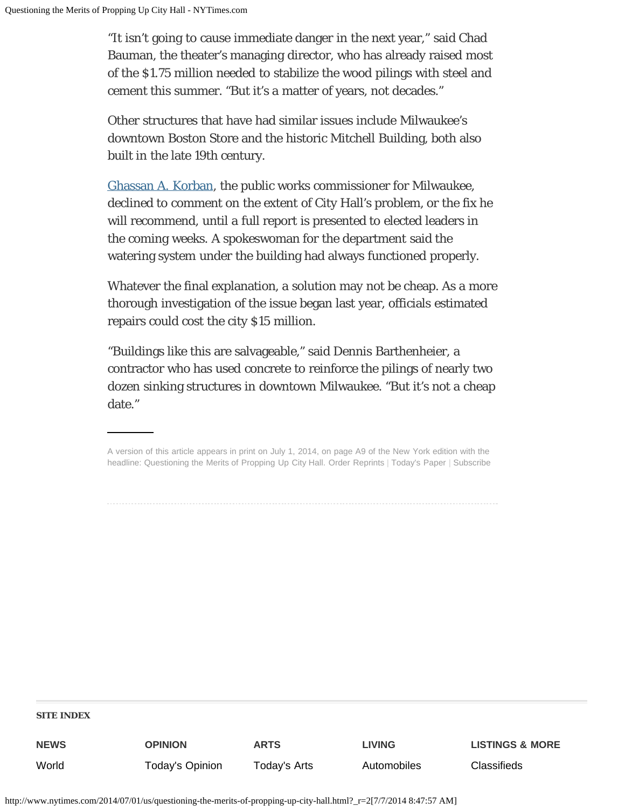"It isn't going to cause immediate danger in the next year," said Chad Bauman, the theater's managing director, who has already raised most of the \$1.75 million needed to stabilize the wood pilings with steel and cement this summer. "But it's a matter of years, not decades."

Other structures that have had similar issues include Milwaukee's downtown Boston Store and the historic Mitchell Building, both also built in the late 19th century.

[Ghassan A. Korban,](http://city.milwaukee.gov/mpw/general/MeetTheCommissioner.htm#.U7HPePldW6U) the public works commissioner for Milwaukee, declined to comment on the extent of City Hall's problem, or the fix he will recommend, until a full report is presented to elected leaders in the coming weeks. A spokeswoman for the department said the watering system under the building had always functioned properly.

Whatever the final explanation, a solution may not be cheap. As a more thorough investigation of the issue began last year, officials estimated repairs could cost the city \$15 million.

"Buildings like this are salvageable," said Dennis Barthenheier, a contractor who has used concrete to reinforce the pilings of nearly two dozen sinking structures in downtown Milwaukee. "But it's not a cheap date."

## **SITE INDEX**

**NEWS** [World](http://www.nytimes.com/pages/world/index.html) **OPINION** [Today's Opinion](http://www.nytimes.com/pages/opinion/index.html) **ARTS** [Today's Arts](http://www.nytimes.com/pages/arts/index.html) **LIVING** [Automobiles](http://www.nytimes.com/pages/automobiles/index.html) **LISTINGS & MORE [Classifieds](http://www.nytimes.com/ref/classifieds/)** 

A version of this article appears in print on July 1, 2014, on page A9 of the New York edition with the headline: Questioning the Merits of Propping Up City Hall. [Order Reprints](https://s100.copyright.com/AppDispatchServlet?contentID=http%3A%2F%2Fwww.nytimes.com%2F2014%2F07%2F01%2Fus%2Fquestioning-the-merits-of-propping-up-city-hall.html&publisherName=The+New+York+Times&publication=nytimes.com&token=&orderBeanReset=true&postType=&wordCount=1062&title=Questioning+the+Merits+of+Propping+Up+City+Hall&publicationDate=June+30%2C+2014&author=By Steven Yaccino) | [Today's Paper](http://www.nytimes.com/pages/todayspaper/index.html) | [Subscribe](http://www.nytimes.com/subscriptions/Multiproduct/lp5558.html?)